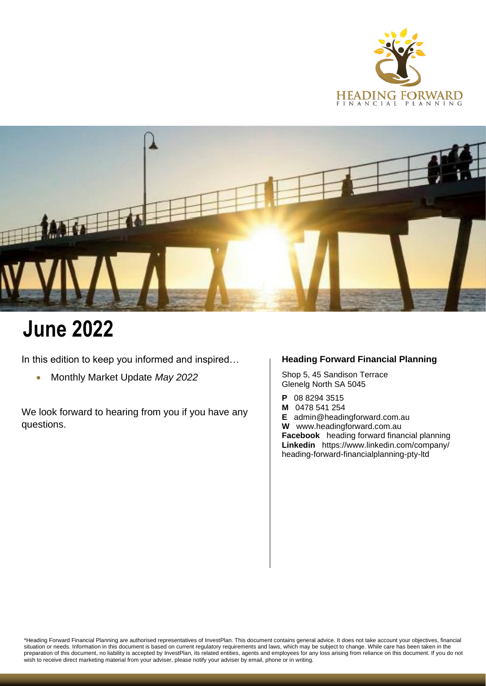



# **June 2022**

In this edition to keep you informed and inspired...

• Monthly Market Update *May 2022*

We look forward to hearing from you if you have any questions.

### **Heading Forward Financial Planning**

Shop 5, 45 Sandison Terrace Glenelg North SA 5045

- **P** 08 8294 3515<br>**M** 0478 541 254
- **M** 0478 541 254

**E** [admin@headingforward.com.au](mailto:admin@headingforward.com.au) **W** www.headingforward.com.au **Facebook** heading forward financial planning **Linkedin** <https://www.linkedin.com/company/> heading-forward-financialplanning-pty-ltd

\*Heading Forward Financial Planning are authorised representatives of InvestPlan. This document contains general advice. It does not take account your objectives, financial situation or needs. Information in this document is based on current regulatory requirements and laws, which may be subject to change. While care has been taken in the preparation of this document, no liability is accepted by InvestPlan, its related entities, agents and employees for any loss arising from reliance on this document. If you do not wish to receive direct marketing material from your adviser, please notify your adviser by email, phone or in writing.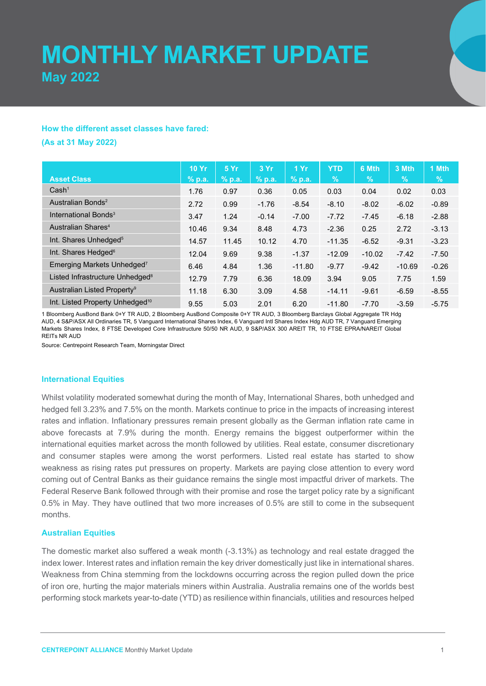## **MONTHLY MARKET UPDATE May 2022**

#### **How the different asset classes have fared:**

**(As at 31 May 2022)**

|                                             | <b>10 Yr</b> | 5 Yr     | 3 Yr     | 1Yr      | <b>YTD</b> | 6 Mth    | 3 Mth    | 1 Mth   |
|---------------------------------------------|--------------|----------|----------|----------|------------|----------|----------|---------|
| <b>Asset Class</b>                          | $%$ p.a.     | $%$ p.a. | $%$ p.a. | $%$ p.a. | $\%$       | $\%$     | $\%$     | %       |
| Cash <sup>1</sup>                           | 1.76         | 0.97     | 0.36     | 0.05     | 0.03       | 0.04     | 0.02     | 0.03    |
| Australian Bonds <sup>2</sup>               | 2.72         | 0.99     | $-1.76$  | $-8.54$  | $-8.10$    | $-8.02$  | $-6.02$  | $-0.89$ |
| International Bonds <sup>3</sup>            | 3.47         | 1.24     | $-0.14$  | $-7.00$  | $-7.72$    | $-7.45$  | $-6.18$  | $-2.88$ |
| Australian Shares <sup>4</sup>              | 10.46        | 9.34     | 8.48     | 4.73     | $-2.36$    | 0.25     | 2.72     | $-3.13$ |
| Int. Shares Unhedged <sup>5</sup>           | 14.57        | 11.45    | 10.12    | 4.70     | $-11.35$   | $-6.52$  | $-9.31$  | $-3.23$ |
| Int. Shares Hedged <sup>6</sup>             | 12.04        | 9.69     | 9.38     | $-1.37$  | $-12.09$   | $-10.02$ | $-7.42$  | $-7.50$ |
| Emerging Markets Unhedged <sup>7</sup>      | 6.46         | 4.84     | 1.36     | $-11.80$ | $-9.77$    | $-9.42$  | $-10.69$ | $-0.26$ |
| Listed Infrastructure Unhedged <sup>8</sup> | 12.79        | 7.79     | 6.36     | 18.09    | 3.94       | 9.05     | 7.75     | 1.59    |
| Australian Listed Property <sup>9</sup>     | 11.18        | 6.30     | 3.09     | 4.58     | $-14.11$   | $-9.61$  | $-6.59$  | $-8.55$ |
| Int. Listed Property Unhedged <sup>10</sup> | 9.55         | 5.03     | 2.01     | 6.20     | $-11.80$   | $-7.70$  | $-3.59$  | $-5.75$ |

1 Bloomberg AusBond Bank 0+Y TR AUD, 2 Bloomberg AusBond Composite 0+Y TR AUD, 3 Bloomberg Barclays Global Aggregate TR Hdg AUD, 4 S&P/ASX All Ordinaries TR, 5 Vanguard International Shares Index, 6 Vanguard Intl Shares Index Hdg AUD TR, 7 Vanguard Emerging Markets Shares Index, 8 FTSE Developed Core Infrastructure 50/50 NR AUD, 9 S&P/ASX 300 AREIT TR, 10 FTSE EPRA/NAREIT Global REITs NR AUD

Source: Centrepoint Research Team, Morningstar Direct

#### **International Equities**

Whilst volatility moderated somewhat during the month of May, International Shares, both unhedged and hedged fell 3.23% and 7.5% on the month. Markets continue to price in the impacts of increasing interest rates and inflation. Inflationary pressures remain present globally as the German inflation rate came in above forecasts at 7.9% during the month. Energy remains the biggest outperformer within the international equities market across the month followed by utilities. Real estate, consumer discretionary and consumer staples were among the worst performers. Listed real estate has started to show weakness as rising rates put pressures on property. Markets are paying close attention to every word coming out of Central Banks as their guidance remains the single most impactful driver of markets. The Federal Reserve Bank followed through with their promise and rose the target policy rate by a significant 0.5% in May. They have outlined that two more increases of 0.5% are still to come in the subsequent months.

#### **Australian Equities**

The domestic market also suffered a weak month (-3.13%) as technology and real estate dragged the index lower. Interest rates and inflation remain the key driver domestically just like in international shares. Weakness from China stemming from the lockdowns occurring across the region pulled down the price of iron ore, hurting the major materials miners within Australia. Australia remains one of the worlds best performing stock markets year-to-date (YTD) as resilience within financials, utilities and resources helped